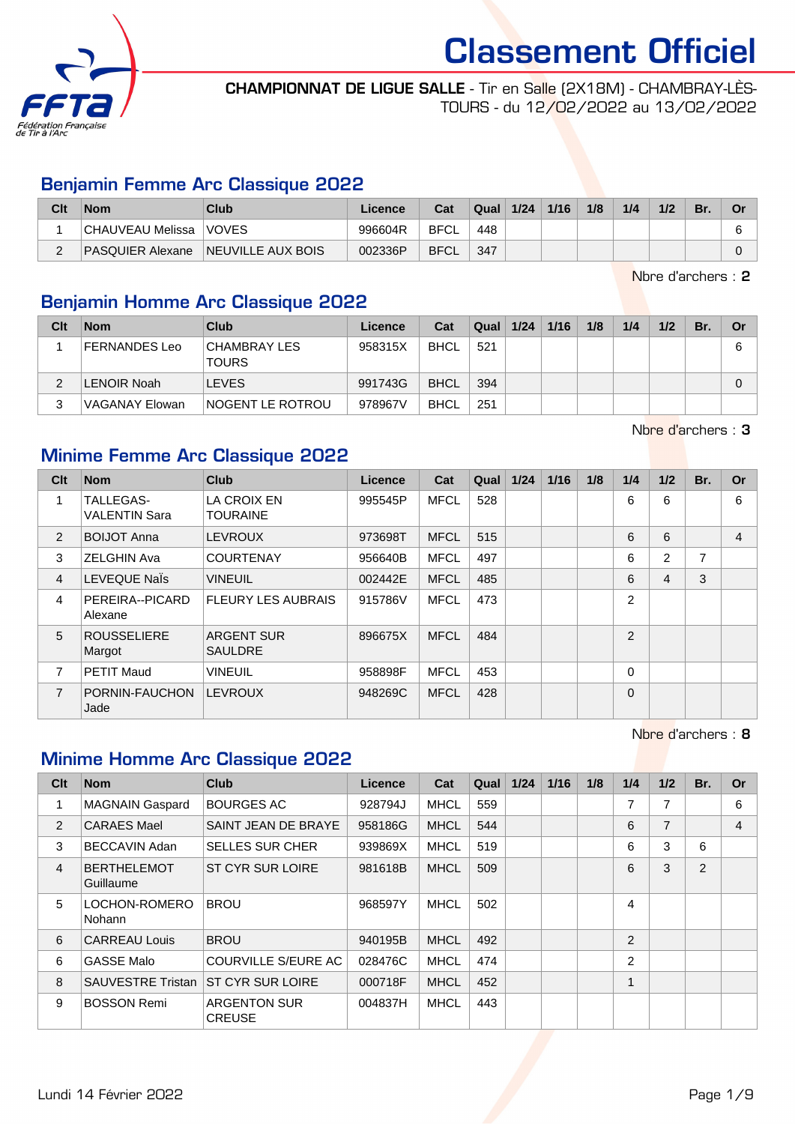

CHAMPIONNAT DE LIGUE SALLE - Tir en Salle (2X18M) - CHAMBRAY-LÈS-TOURS - du 12/02/2022 au 13/02/2022

#### Benjamin Femme Arc Classique 2022

| Clt | <b>Nom</b>        | Club                     | Licence | Cat         | Qual | 1/24 | 1/16 | 1/8 | 1/4 | 1/2 | Br. | n. |
|-----|-------------------|--------------------------|---------|-------------|------|------|------|-----|-----|-----|-----|----|
|     | CHAUVEAU Melissa_ | <b>VOVES</b>             | 996604R | <b>BFCL</b> | 448  |      |      |     |     |     |     |    |
|     | PASQUIER Alexane  | <b>NEUVILLE AUX BOIS</b> | 002336P | <b>BFCL</b> | 347  |      |      |     |     |     |     |    |

Nbre d'archers : 2

#### Benjamin Homme Arc Classique 2022

| Clt | <b>Nom</b>         | Club                          | Licence | Cat         | Qual $1/24$ | 1/16 | 1/8 | 1/4 | 1/2 | Br. | Or |
|-----|--------------------|-------------------------------|---------|-------------|-------------|------|-----|-----|-----|-----|----|
|     | FERNANDES Leo      | CHAMBRAY LES <br><b>TOURS</b> | 958315X | <b>BHCL</b> | 521         |      |     |     |     |     | 6  |
|     | <b>LENOIR Noah</b> | <b>LEVES</b>                  | 991743G | <b>BHCL</b> | 394         |      |     |     |     |     |    |
|     | VAGANAY Elowan     | <b>NOGENT LE ROTROU</b>       | 978967V | <b>BHCL</b> | 251         |      |     |     |     |     |    |

Nbre d'archers : 3

#### Minime Femme Arc Classique 2022

| Clt            | <b>Nom</b>                               | <b>Club</b>                         | <b>Licence</b> | Cat         | Qual | 1/24 | 1/16 | 1/8 | 1/4      | 1/2 | Br. | Or |
|----------------|------------------------------------------|-------------------------------------|----------------|-------------|------|------|------|-----|----------|-----|-----|----|
| 1              | <b>TALLEGAS-</b><br><b>VALENTIN Sara</b> | LA CROIX EN<br><b>TOURAINE</b>      | 995545P        | <b>MFCL</b> | 528  |      |      |     | 6        | 6   |     | 6  |
| 2              | <b>BOIJOT Anna</b>                       | <b>LEVROUX</b>                      | 973698T        | <b>MFCL</b> | 515  |      |      |     | 6        | 6   |     | 4  |
| 3              | <b>ZELGHIN Ava</b>                       | <b>COURTENAY</b>                    | 956640B        | <b>MFCL</b> | 497  |      |      |     | 6        | 2   | 7   |    |
| $\overline{4}$ | LEVEQUE Nals                             | <b>VINEUIL</b>                      | 002442E        | <b>MFCL</b> | 485  |      |      |     | 6        | 4   | 3   |    |
| $\overline{4}$ | PEREIRA--PICARD<br>Alexane               | <b>FLEURY LES AUBRAIS</b>           | 915786V        | <b>MFCL</b> | 473  |      |      |     | 2        |     |     |    |
| 5              | <b>ROUSSELIERE</b><br>Margot             | <b>ARGENT SUR</b><br><b>SAULDRE</b> | 896675X        | <b>MFCL</b> | 484  |      |      |     | 2        |     |     |    |
| $\overline{7}$ | <b>PETIT Maud</b>                        | <b>VINEUIL</b>                      | 958898F        | <b>MFCL</b> | 453  |      |      |     | $\Omega$ |     |     |    |
| $\overline{7}$ | PORNIN-FAUCHON<br>Jade                   | <b>LEVROUX</b>                      | 948269C        | <b>MFCL</b> | 428  |      |      |     | $\Omega$ |     |     |    |

Nbre d'archers : 8

# Minime Homme Arc Classique 2022

| Clt            | <b>Nom</b>                      | <b>Club</b>                          | <b>Licence</b> | Cat         | Qual | $1/24$ | $1/16$ | 1/8 | 1/4            | 1/2 | Br.            | <b>Or</b> |
|----------------|---------------------------------|--------------------------------------|----------------|-------------|------|--------|--------|-----|----------------|-----|----------------|-----------|
| 1              | <b>MAGNAIN Gaspard</b>          | <b>BOURGES AC</b>                    | 928794J        | <b>MHCL</b> | 559  |        |        |     | $\overline{ }$ | 7   |                | 6         |
| 2              | <b>CARAES Mael</b>              | SAINT JEAN DE BRAYE                  | 958186G        | <b>MHCL</b> | 544  |        |        |     | 6              | 7   |                | 4         |
| 3              | <b>BECCAVIN Adan</b>            | <b>SELLES SUR CHER</b>               | 939869X        | <b>MHCL</b> | 519  |        |        |     | 6              | 3   | 6              |           |
| $\overline{4}$ | <b>BERTHELEMOT</b><br>Guillaume | ST CYR SUR LOIRE                     | 981618B        | <b>MHCL</b> | 509  |        |        |     | 6              | 3   | $\overline{2}$ |           |
| 5              | LOCHON-ROMERO<br>Nohann         | <b>BROU</b>                          | 968597Y        | <b>MHCL</b> | 502  |        |        |     | 4              |     |                |           |
| 6              | <b>CARREAU Louis</b>            | <b>BROU</b>                          | 940195B        | <b>MHCL</b> | 492  |        |        |     | $\overline{2}$ |     |                |           |
| 6              | <b>GASSE Malo</b>               | <b>COURVILLE S/EURE AC</b>           | 028476C        | <b>MHCL</b> | 474  |        |        |     | 2              |     |                |           |
| 8              | <b>SAUVESTRE Tristan</b>        | ST CYR SUR LOIRE                     | 000718F        | <b>MHCL</b> | 452  |        |        |     | 1              |     |                |           |
| 9              | <b>BOSSON Remi</b>              | <b>ARGENTON SUR</b><br><b>CREUSE</b> | 004837H        | <b>MHCL</b> | 443  |        |        |     |                |     |                |           |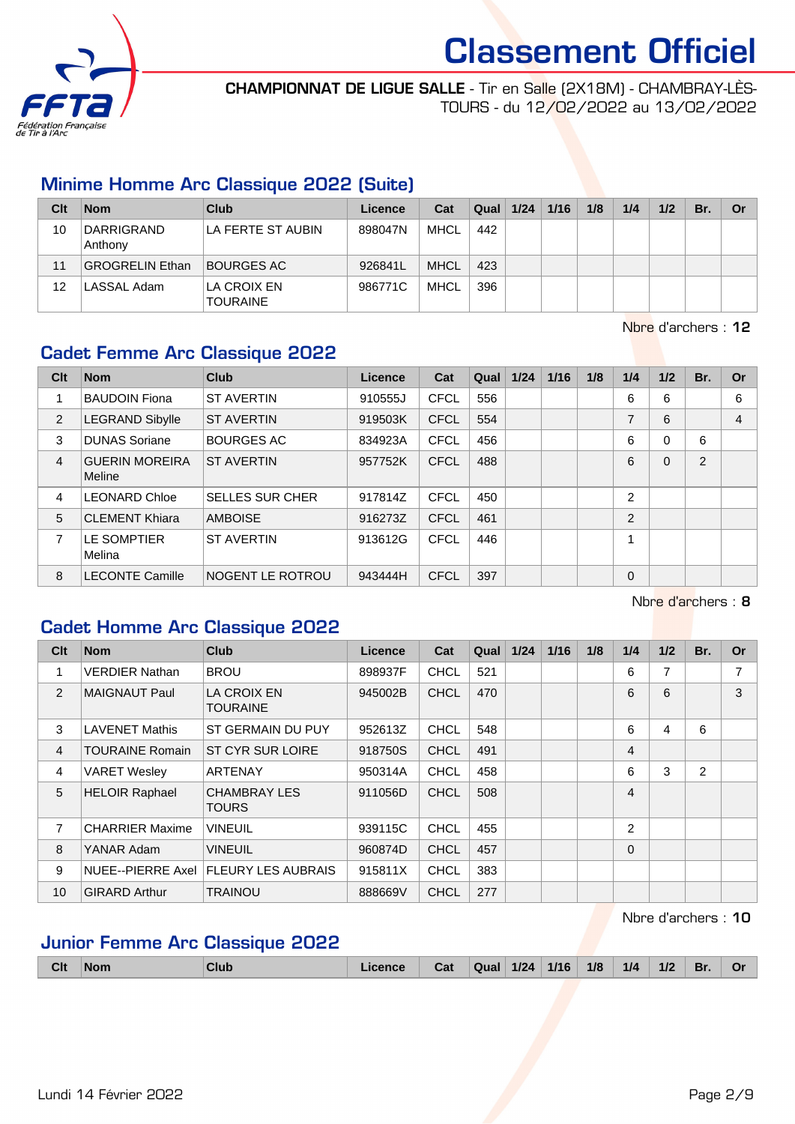

#### CHAMPIONNAT DE LIGUE SALLE - Tir en Salle (2X18M) - CHAMBRAY-LÈS-TOURS - du 12/02/2022 au 13/02/2022

#### Minime Homme Arc Classique 2022 (Suite)

| Clt | <b>Nom</b>                   | Club                           | Licence | Cat         | Qual | 1/24 | 1/16 | 1/8 | 1/4 | 1/2 | Br. | Or |
|-----|------------------------------|--------------------------------|---------|-------------|------|------|------|-----|-----|-----|-----|----|
| 10  | <b>DARRIGRAND</b><br>Anthony | LA FERTE ST AUBIN              | 898047N | MHCL        | 442  |      |      |     |     |     |     |    |
| 11  | GROGRELIN Ethan              | BOURGES AC                     | 926841L | <b>MHCL</b> | 423  |      |      |     |     |     |     |    |
| 12  | LASSAL Adam                  | LA CROIX EN<br><b>TOURAINE</b> | 986771C | MHCL        | 396  |      |      |     |     |     |     |    |

Nbre d'archers : 12

# Cadet Femme Arc Classique 2022

| Clt | <b>Nom</b>                      | <b>Club</b>            | Licence | Cat         | Qual | 1/24 | 1/16 | 1/8 | 1/4            | 1/2      | Br.           | <b>Or</b>      |
|-----|---------------------------------|------------------------|---------|-------------|------|------|------|-----|----------------|----------|---------------|----------------|
|     | <b>BAUDOIN Fiona</b>            | <b>ST AVERTIN</b>      | 910555J | <b>CFCL</b> | 556  |      |      |     | 6              | 6        |               | 6              |
| 2   | <b>LEGRAND Sibylle</b>          | <b>ST AVERTIN</b>      | 919503K | <b>CFCL</b> | 554  |      |      |     | 7              | 6        |               | $\overline{4}$ |
| 3   | <b>DUNAS Soriane</b>            | <b>BOURGES AC</b>      | 834923A | <b>CFCL</b> | 456  |      |      |     | 6              | $\Omega$ | 6             |                |
| 4   | <b>GUERIN MOREIRA</b><br>Meline | <b>ST AVERTIN</b>      | 957752K | <b>CFCL</b> | 488  |      |      |     | 6              | $\Omega$ | $\mathcal{P}$ |                |
| 4   | <b>LEONARD Chloe</b>            | <b>SELLES SUR CHER</b> | 917814Z | <b>CFCL</b> | 450  |      |      |     | $\overline{2}$ |          |               |                |
| 5   | <b>CLEMENT Khiara</b>           | <b>AMBOISE</b>         | 916273Z | <b>CFCL</b> | 461  |      |      |     | 2              |          |               |                |
| 7   | LE SOMPTIER<br>Melina           | <b>ST AVERTIN</b>      | 913612G | <b>CFCL</b> | 446  |      |      |     | 4              |          |               |                |
| 8   | <b>LECONTE Camille</b>          | INOGENT LE ROTROU      | 943444H | <b>CFCL</b> | 397  |      |      |     | 0              |          |               |                |

Nbre d'archers : 8

### Cadet Homme Arc Classique 2022

| Clt            | <b>Nom</b>             | <b>Club</b>                            | Licence | Cat         | Qual | 1/24 | $1/16$ | 1/8 | 1/4            | 1/2 | Br.            | <b>Or</b> |
|----------------|------------------------|----------------------------------------|---------|-------------|------|------|--------|-----|----------------|-----|----------------|-----------|
| 1              | <b>VERDIER Nathan</b>  | <b>BROU</b>                            | 898937F | <b>CHCL</b> | 521  |      |        |     | 6              | 7   |                |           |
| 2              | MAIGNAUT Paul          | <b>LA CROIX EN</b><br><b>TOURAINE</b>  | 945002B | <b>CHCL</b> | 470  |      |        |     | 6              | 6   |                | 3         |
| 3              | <b>LAVENET Mathis</b>  | ST GERMAIN DU PUY                      | 952613Z | <b>CHCL</b> | 548  |      |        |     | 6              | 4   | 6              |           |
| $\overline{4}$ | <b>TOURAINE Romain</b> | ST CYR SUR LOIRE                       | 918750S | <b>CHCL</b> | 491  |      |        |     | 4              |     |                |           |
| 4              | <b>VARET Wesley</b>    | <b>ARTENAY</b>                         | 950314A | <b>CHCL</b> | 458  |      |        |     | 6              | 3   | $\overline{2}$ |           |
| 5              | <b>HELOIR Raphael</b>  | <b>CHAMBRAY LES</b><br><b>TOURS</b>    | 911056D | CHCL        | 508  |      |        |     | 4              |     |                |           |
| 7              | <b>CHARRIER Maxime</b> | <b>VINEUIL</b>                         | 939115C | <b>CHCL</b> | 455  |      |        |     | $\overline{2}$ |     |                |           |
| 8              | YANAR Adam             | <b>VINEUIL</b>                         | 960874D | <b>CHCL</b> | 457  |      |        |     | $\Omega$       |     |                |           |
| 9              |                        | NUEE--PIERRE Axel   FLEURY LES AUBRAIS | 915811X | <b>CHCL</b> | 383  |      |        |     |                |     |                |           |
| 10             | <b>GIRARD Arthur</b>   | <b>TRAINOU</b>                         | 888669V | <b>CHCL</b> | 277  |      |        |     |                |     |                |           |

Nbre d'archers : 10

# Junior Femme Arc Classique 2022

|  | <b>Clt</b> | <b>Nom</b> | Club | Licence | Cat | Qual | 1/24 | 1/16 | 1/8 | 1/4 | 1/2 | Br. | O! |
|--|------------|------------|------|---------|-----|------|------|------|-----|-----|-----|-----|----|
|--|------------|------------|------|---------|-----|------|------|------|-----|-----|-----|-----|----|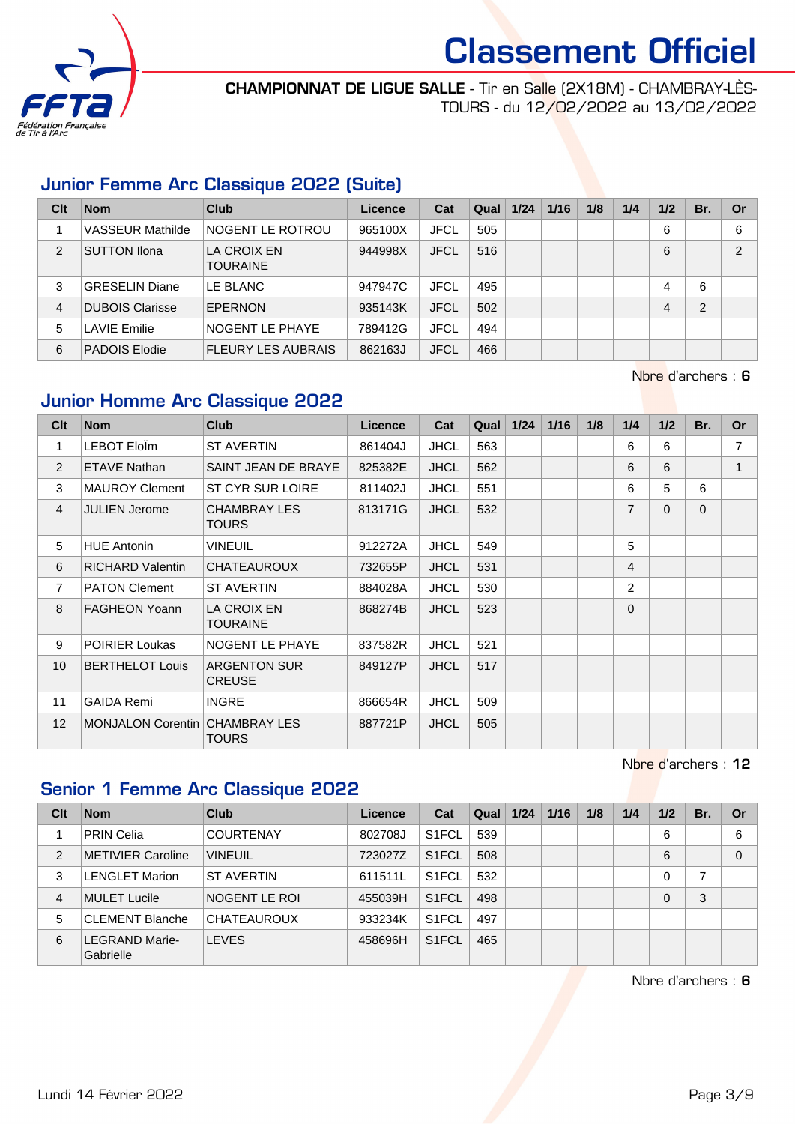

#### CHAMPIONNAT DE LIGUE SALLE - Tir en Salle (2X18M) - CHAMBRAY-LÈS-TOURS - du 12/02/2022 au 13/02/2022

#### Junior Femme Arc Classique 2022 (Suite)

| Clt | <b>Nom</b>              | Club                           | Licence | Cat         | Qual | 1/24 | 1/16 | 1/8 | 1/4 | 1/2 | Br. | Or            |
|-----|-------------------------|--------------------------------|---------|-------------|------|------|------|-----|-----|-----|-----|---------------|
|     | <b>VASSEUR Mathilde</b> | NOGENT LE ROTROU               | 965100X | <b>JFCL</b> | 505  |      |      |     |     | 6   |     | 6             |
| 2   | <b>SUTTON Ilona</b>     | LA CROIX EN<br><b>TOURAINE</b> | 944998X | <b>JFCL</b> | 516  |      |      |     |     | 6   |     | $\mathcal{P}$ |
| 3   | <b>GRESELIN Diane</b>   | LE BLANC                       | 947947C | <b>JFCL</b> | 495  |      |      |     |     | 4   | 6   |               |
| 4   | <b>DUBOIS Clarisse</b>  | <b>EPERNON</b>                 | 935143K | <b>JFCL</b> | 502  |      |      |     |     | 4   | 2   |               |
| 5   | <b>LAVIE Emilie</b>     | NOGENT LE PHAYE                | 789412G | <b>JFCL</b> | 494  |      |      |     |     |     |     |               |
| 6   | PADOIS Elodie           | <b>FLEURY LES AUBRAIS</b>      | 862163J | <b>JFCL</b> | 466  |      |      |     |     |     |     |               |

Nbre d'archers : 6

#### Junior Homme Arc Classique 2022

| Clt            | <b>Nom</b>                     | <b>Club</b>                          | Licence | Cat         | Qual | 1/24 | 1/16 | 1/8 | 1/4            | 1/2         | Br.      | <b>Or</b> |
|----------------|--------------------------------|--------------------------------------|---------|-------------|------|------|------|-----|----------------|-------------|----------|-----------|
| 1              | LEBOT EloÎm                    | <b>ST AVERTIN</b>                    | 861404J | <b>JHCL</b> | 563  |      |      |     | 6              | 6           |          | 7         |
| 2              | <b>ETAVE Nathan</b>            | SAINT JEAN DE BRAYE                  | 825382E | <b>JHCL</b> | 562  |      |      |     | 6              | 6           |          |           |
| 3              | <b>MAUROY Clement</b>          | ST CYR SUR LOIRE                     | 811402J | <b>JHCL</b> | 551  |      |      |     | 6              | 5           | 6        |           |
| $\overline{4}$ | <b>JULIEN Jerome</b>           | <b>CHAMBRAY LES</b><br><b>TOURS</b>  | 813171G | <b>JHCL</b> | 532  |      |      |     | $\overline{7}$ | $\mathbf 0$ | $\Omega$ |           |
| 5              | <b>HUE Antonin</b>             | <b>VINEUIL</b>                       | 912272A | <b>JHCL</b> | 549  |      |      |     | 5              |             |          |           |
| 6              | <b>RICHARD Valentin</b>        | <b>CHATEAUROUX</b>                   | 732655P | <b>JHCL</b> | 531  |      |      |     | 4              |             |          |           |
| $\overline{7}$ | <b>PATON Clement</b>           | <b>ST AVERTIN</b>                    | 884028A | <b>JHCL</b> | 530  |      |      |     | $\overline{2}$ |             |          |           |
| 8              | <b>FAGHEON Yoann</b>           | LA CROIX EN<br><b>TOURAINE</b>       | 868274B | <b>JHCL</b> | 523  |      |      |     | $\Omega$       |             |          |           |
| 9              | <b>POIRIER Loukas</b>          | NOGENT LE PHAYE                      | 837582R | <b>JHCL</b> | 521  |      |      |     |                |             |          |           |
| 10             | <b>BERTHELOT Louis</b>         | <b>ARGENTON SUR</b><br><b>CREUSE</b> | 849127P | <b>JHCL</b> | 517  |      |      |     |                |             |          |           |
| 11             | <b>GAIDA Remi</b>              | <b>INGRE</b>                         | 866654R | <b>JHCL</b> | 509  |      |      |     |                |             |          |           |
| 12             | MONJALON Corentin CHAMBRAY LES | <b>TOURS</b>                         | 887721P | <b>JHCL</b> | 505  |      |      |     |                |             |          |           |

Nbre d'archers : 12

# Senior 1 Femme Arc Classique 2022

| Clt | <b>Nom</b>                         | <b>Club</b>        | Licence | Cat                | Qual | 1/24 | 1/16 | 1/8 | 1/4 | 1/2 | Br. | Or       |
|-----|------------------------------------|--------------------|---------|--------------------|------|------|------|-----|-----|-----|-----|----------|
|     | <b>PRIN Celia</b>                  | <b>COURTENAY</b>   | 802708J | S <sub>1</sub> FCL | 539  |      |      |     |     | 6   |     | 6        |
| 2   | <b>METIVIER Caroline</b>           | <b>VINEUIL</b>     | 723027Z | S <sub>1</sub> FCL | 508  |      |      |     |     | 6   |     | $\Omega$ |
| 3   | <b>LENGLET Marion</b>              | <b>ST AVERTIN</b>  | 611511L | S <sub>1</sub> FCL | 532  |      |      |     |     | 0   |     |          |
| 4   | <b>MULET Lucile</b>                | NOGENT LE ROI      | 455039H | S <sub>1</sub> FCL | 498  |      |      |     |     | 0   | 3   |          |
| 5   | <b>CLEMENT Blanche</b>             | <b>CHATEAUROUX</b> | 933234K | S <sub>1</sub> FCL | 497  |      |      |     |     |     |     |          |
| 6   | <b>LEGRAND Marie-</b><br>Gabrielle | <b>LEVES</b>       | 458696H | S <sub>1</sub> FCL | 465  |      |      |     |     |     |     |          |

Nbre d'archers : 6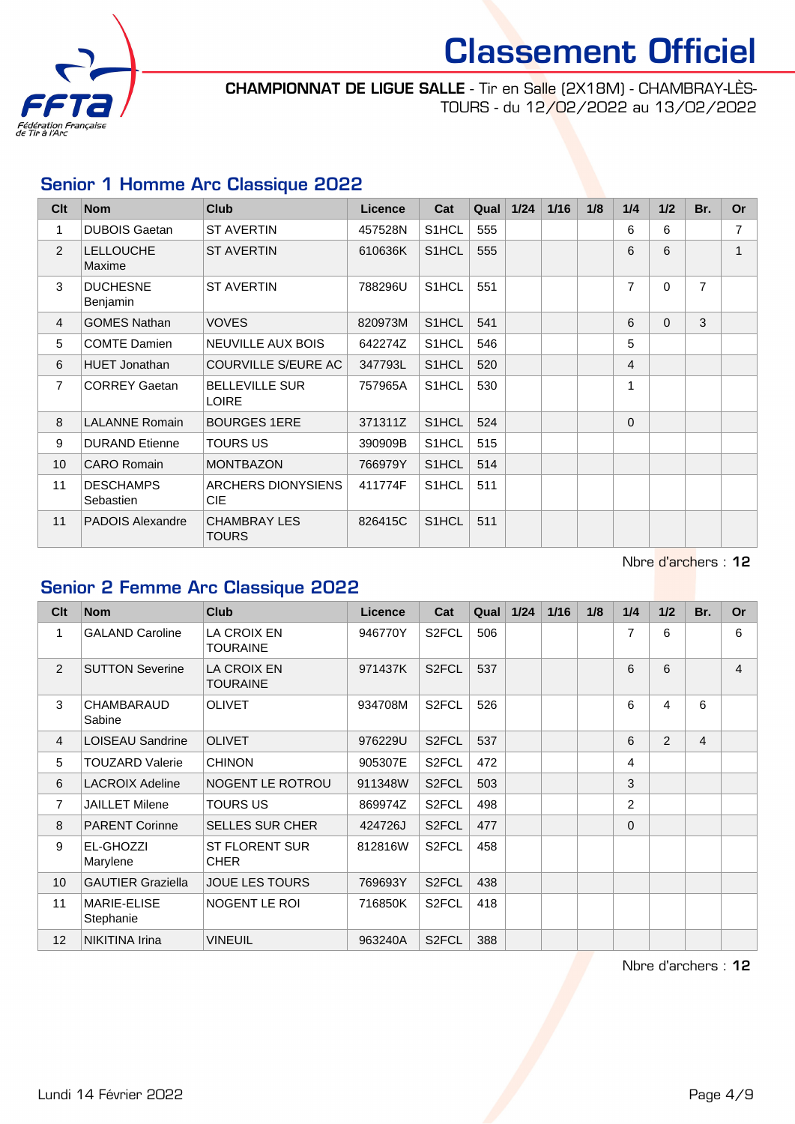

#### CHAMPIONNAT DE LIGUE SALLE - Tir en Salle (2X18M) - CHAMBRAY-LÈS-TOURS - du 12/02/2022 au 13/02/2022

### Senior 1 Homme Arc Classique 2022

| Clt            | <b>Nom</b>                    | <b>Club</b>                           | Licence | Cat                | Qual | 1/24 | 1/16 | 1/8 | 1/4      | 1/2      | Br.            | <b>Or</b>      |
|----------------|-------------------------------|---------------------------------------|---------|--------------------|------|------|------|-----|----------|----------|----------------|----------------|
| 1              | <b>DUBOIS Gaetan</b>          | <b>ST AVERTIN</b>                     | 457528N | S1HCL              | 555  |      |      |     | 6        | 6        |                | 7              |
| $\overline{2}$ | <b>LELLOUCHE</b><br>Maxime    | <b>ST AVERTIN</b>                     | 610636K | S <sub>1</sub> HCL | 555  |      |      |     | 6        | 6        |                | $\overline{1}$ |
| 3              | <b>DUCHESNE</b><br>Benjamin   | <b>ST AVERTIN</b>                     | 788296U | S <sub>1</sub> HCL | 551  |      |      |     | 7        | $\Omega$ | $\overline{7}$ |                |
| $\overline{4}$ | <b>GOMES Nathan</b>           | <b>VOVES</b>                          | 820973M | S <sub>1</sub> HCL | 541  |      |      |     | 6        | $\Omega$ | 3              |                |
| 5              | <b>COMTE Damien</b>           | <b>NEUVILLE AUX BOIS</b>              | 642274Z | S <sub>1</sub> HCL | 546  |      |      |     | 5        |          |                |                |
| 6              | <b>HUET Jonathan</b>          | <b>COURVILLE S/EURE AC</b>            | 347793L | S <sub>1</sub> HCL | 520  |      |      |     | 4        |          |                |                |
| $\overline{7}$ | <b>CORREY Gaetan</b>          | <b>BELLEVILLE SUR</b><br><b>LOIRE</b> | 757965A | S <sub>1</sub> HCL | 530  |      |      |     | 1        |          |                |                |
| 8              | <b>LALANNE Romain</b>         | <b>BOURGES 1ERE</b>                   | 371311Z | S <sub>1</sub> HCL | 524  |      |      |     | $\Omega$ |          |                |                |
| 9              | <b>DURAND</b> Etienne         | <b>TOURS US</b>                       | 390909B | S1HCL              | 515  |      |      |     |          |          |                |                |
| 10             | <b>CARO Romain</b>            | <b>MONTBAZON</b>                      | 766979Y | S <sub>1</sub> HCL | 514  |      |      |     |          |          |                |                |
| 11             | <b>DESCHAMPS</b><br>Sebastien | <b>ARCHERS DIONYSIENS</b><br>CIE.     | 411774F | S <sub>1</sub> HCL | 511  |      |      |     |          |          |                |                |
| 11             | PADOIS Alexandre              | <b>CHAMBRAY LES</b><br>TOURS          | 826415C | S <sub>1</sub> HCL | 511  |      |      |     |          |          |                |                |

Nbre d'archers : 12

# Senior 2 Femme Arc Classique 2022

| C <sub>lt</sub> | <b>Nom</b>                  | <b>Club</b>                           | Licence | Cat                | Qual | 1/24 | 1/16 | 1/8 | 1/4      | 1/2 | Br.            | <b>Or</b>      |
|-----------------|-----------------------------|---------------------------------------|---------|--------------------|------|------|------|-----|----------|-----|----------------|----------------|
| 1               | <b>GALAND Caroline</b>      | <b>LA CROIX EN</b><br><b>TOURAINE</b> | 946770Y | S <sub>2</sub> FCL | 506  |      |      |     | 7        | 6   |                | 6              |
| 2               | <b>SUTTON Severine</b>      | LA CROIX EN<br><b>TOURAINE</b>        | 971437K | S <sub>2</sub> FCL | 537  |      |      |     | 6        | 6   |                | $\overline{4}$ |
| 3               | <b>CHAMBARAUD</b><br>Sabine | <b>OLIVET</b>                         | 934708M | S <sub>2</sub> FCL | 526  |      |      |     | 6        | 4   | 6              |                |
| $\overline{4}$  | <b>LOISEAU Sandrine</b>     | <b>OLIVET</b>                         | 976229U | S <sub>2</sub> FCL | 537  |      |      |     | 6        | 2   | $\overline{4}$ |                |
| 5               | <b>TOUZARD Valerie</b>      | <b>CHINON</b>                         | 905307E | S <sub>2</sub> FCL | 472  |      |      |     | 4        |     |                |                |
| 6               | <b>LACROIX Adeline</b>      | NOGENT LE ROTROU                      | 911348W | S <sub>2</sub> FCL | 503  |      |      |     | 3        |     |                |                |
| $\overline{7}$  | <b>JAILLET Milene</b>       | <b>TOURS US</b>                       | 869974Z | S <sub>2</sub> FCL | 498  |      |      |     | 2        |     |                |                |
| 8               | <b>PARENT Corinne</b>       | <b>SELLES SUR CHER</b>                | 424726J | S <sub>2</sub> FCL | 477  |      |      |     | $\Omega$ |     |                |                |
| 9               | EL-GHOZZI<br>Marylene       | <b>ST FLORENT SUR</b><br><b>CHER</b>  | 812816W | S <sub>2</sub> FCL | 458  |      |      |     |          |     |                |                |
| 10 <sup>°</sup> | <b>GAUTIER Graziella</b>    | <b>JOUE LES TOURS</b>                 | 769693Y | S <sub>2</sub> FCL | 438  |      |      |     |          |     |                |                |
| 11              | MARIE-ELISE<br>Stephanie    | NOGENT LE ROI                         | 716850K | S <sub>2</sub> FCL | 418  |      |      |     |          |     |                |                |
| 12              | <b>NIKITINA Irina</b>       | <b>VINEUIL</b>                        | 963240A | S <sub>2</sub> FCL | 388  |      |      |     |          |     |                |                |

Nbre d'archers : 12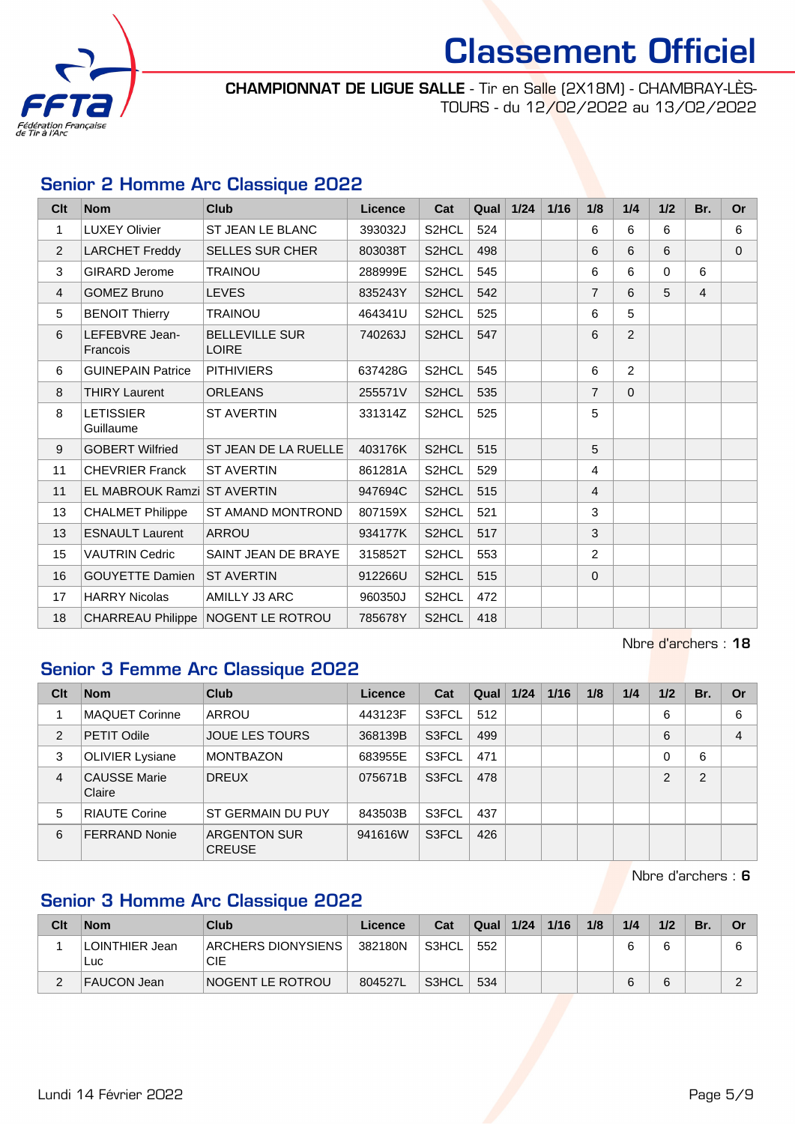

CHAMPIONNAT DE LIGUE SALLE - Tir en Salle (2X18M) - CHAMBRAY-LÈS-TOURS - du 12/02/2022 au 13/02/2022

### Senior 2 Homme Arc Classique 2022

| Clt            | <b>Nom</b>                    | Club                                  | <b>Licence</b> | Cat                | Qual | 1/24 | 1/16 | 1/8            | 1/4            | 1/2      | Br.            | <b>Or</b>      |
|----------------|-------------------------------|---------------------------------------|----------------|--------------------|------|------|------|----------------|----------------|----------|----------------|----------------|
| 1              | <b>LUXEY Olivier</b>          | <b>ST JEAN LE BLANC</b>               | 393032J        | S2HCL              | 524  |      |      | 6              | 6              | 6        |                | 6              |
| $\overline{2}$ | <b>LARCHET Freddy</b>         | <b>SELLES SUR CHER</b>                | 803038T        | S2HCL              | 498  |      |      | 6              | 6              | 6        |                | $\overline{0}$ |
| 3              | <b>GIRARD Jerome</b>          | <b>TRAINOU</b>                        | 288999E        | S <sub>2</sub> HCL | 545  |      |      | 6              | 6              | $\Omega$ | 6              |                |
| 4              | <b>GOMEZ Bruno</b>            | <b>LEVES</b>                          | 835243Y        | S2HCL              | 542  |      |      | $\overline{7}$ | 6              | 5        | $\overline{4}$ |                |
| 5              | <b>BENOIT Thierry</b>         | <b>TRAINOU</b>                        | 464341U        | S2HCL              | 525  |      |      | 6              | 5              |          |                |                |
| 6              | LEFEBVRE Jean-<br>Francois    | <b>BELLEVILLE SUR</b><br><b>LOIRE</b> | 740263J        | S2HCL              | 547  |      |      | 6              | 2              |          |                |                |
| 6              | <b>GUINEPAIN Patrice</b>      | <b>PITHIVIERS</b>                     | 637428G        | S2HCL              | 545  |      |      | 6              | $\overline{2}$ |          |                |                |
| 8              | <b>THIRY Laurent</b>          | <b>ORLEANS</b>                        | 255571V        | S2HCL              | 535  |      |      | $\overline{7}$ | $\Omega$       |          |                |                |
| 8              | <b>LETISSIER</b><br>Guillaume | <b>ST AVERTIN</b>                     | 331314Z        | S2HCL              | 525  |      |      | 5              |                |          |                |                |
| 9              | <b>GOBERT Wilfried</b>        | ST JEAN DE LA RUELLE                  | 403176K        | S <sub>2</sub> HCL | 515  |      |      | 5              |                |          |                |                |
| 11             | <b>CHEVRIER Franck</b>        | <b>ST AVERTIN</b>                     | 861281A        | S2HCL              | 529  |      |      | 4              |                |          |                |                |
| 11             | EL MABROUK Ramzi ST AVERTIN   |                                       | 947694C        | S2HCL              | 515  |      |      | $\overline{4}$ |                |          |                |                |
| 13             | <b>CHALMET Philippe</b>       | ST AMAND MONTROND                     | 807159X        | S <sub>2</sub> HCL | 521  |      |      | 3              |                |          |                |                |
| 13             | <b>ESNAULT Laurent</b>        | <b>ARROU</b>                          | 934177K        | S2HCL              | 517  |      |      | 3              |                |          |                |                |
| 15             | <b>VAUTRIN Cedric</b>         | SAINT JEAN DE BRAYE                   | 315852T        | S2HCL              | 553  |      |      | $\overline{2}$ |                |          |                |                |
| 16             | <b>GOUYETTE Damien</b>        | <b>ST AVERTIN</b>                     | 912266U        | S2HCL              | 515  |      |      | $\mathbf{0}$   |                |          |                |                |
| 17             | <b>HARRY Nicolas</b>          | AMILLY J3 ARC                         | 960350J        | S2HCL              | 472  |      |      |                |                |          |                |                |
| 18             |                               | CHARREAU Philippe   NOGENT LE ROTROU  | 785678Y        | S2HCL              | 418  |      |      |                |                |          |                |                |

Nbre d'archers : 18

### Senior 3 Femme Arc Classique 2022

| Clt | <b>Nom</b>                    | <b>Club</b>                          | Licence | Cat   | Qual | 1/24 | 1/16 | 1/8 | 1/4 | 1/2      | Br.            | <b>Or</b>      |
|-----|-------------------------------|--------------------------------------|---------|-------|------|------|------|-----|-----|----------|----------------|----------------|
|     | <b>MAQUET Corinne</b>         | ARROU                                | 443123F | S3FCL | 512  |      |      |     |     | 6        |                | 6              |
| 2   | <b>PETIT Odile</b>            | <b>JOUE LES TOURS</b>                | 368139B | S3FCL | 499  |      |      |     |     | 6        |                | $\overline{4}$ |
| 3   | <b>OLIVIER Lysiane</b>        | <b>MONTBAZON</b>                     | 683955E | S3FCL | 471  |      |      |     |     | $\Omega$ | 6              |                |
| 4   | <b>CAUSSE Marie</b><br>Claire | <b>DREUX</b>                         | 075671B | S3FCL | 478  |      |      |     |     | 2        | $\overline{2}$ |                |
| 5   | <b>RIAUTE Corine</b>          | ST GERMAIN DU PUY                    | 843503B | S3FCL | 437  |      |      |     |     |          |                |                |
| 6   | <b>FERRAND Nonie</b>          | <b>ARGENTON SUR</b><br><b>CREUSE</b> | 941616W | S3FCL | 426  |      |      |     |     |          |                |                |

Nbre d'archers : 6

## Senior 3 Homme Arc Classique 2022

| Clt | <b>Nom</b>                    | Club                      | Licence | Cat   | Qual | 1/24 | 1/16 | 1/8 | 1/4 | 1/2 | Br. | Or |
|-----|-------------------------------|---------------------------|---------|-------|------|------|------|-----|-----|-----|-----|----|
|     | <b>LOINTHIER Jean</b><br>Luc. | ARCHERS DIONYSIENS<br>CIE | 382180N | S3HCL | 552  |      |      |     |     |     |     |    |
| ∼   | FAUCON Jean                   | NOGENT LE ROTROU          | 804527L | S3HCL | 534  |      |      |     |     |     |     |    |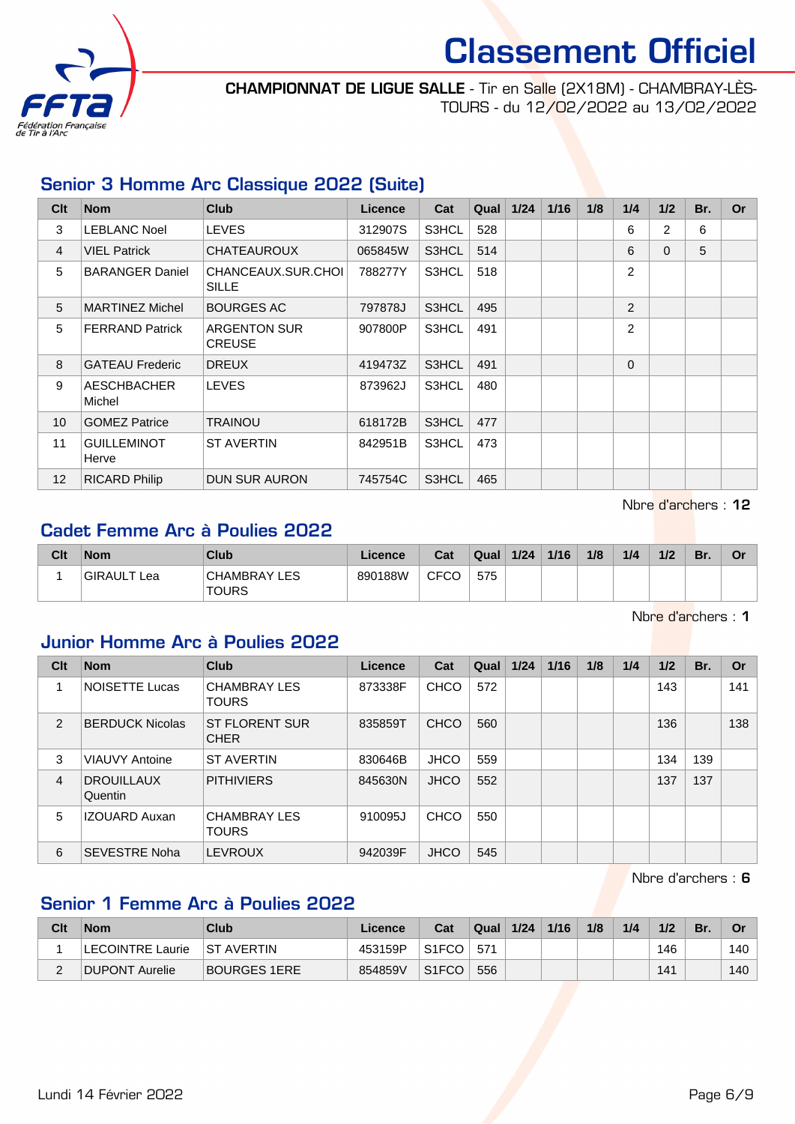

CHAMPIONNAT DE LIGUE SALLE - Tir en Salle (2X18M) - CHAMBRAY-LÈS-TOURS - du 12/02/2022 au 13/02/2022

#### Senior 3 Homme Arc Classique 2022 (Suite)

| Clt            | <b>Nom</b>                   | <b>Club</b>                          | <b>Licence</b> | Cat   | Qual | 1/24 | 1/16 | 1/8 | 1/4            | 1/2            | Br. | <b>Or</b> |
|----------------|------------------------------|--------------------------------------|----------------|-------|------|------|------|-----|----------------|----------------|-----|-----------|
| 3              | <b>LEBLANC Noel</b>          | <b>LEVES</b>                         | 312907S        | S3HCL | 528  |      |      |     | 6              | $\overline{2}$ | 6   |           |
| $\overline{4}$ | <b>VIEL Patrick</b>          | <b>CHATEAUROUX</b>                   | 065845W        | S3HCL | 514  |      |      |     | 6              | $\Omega$       | 5   |           |
| 5              | <b>BARANGER Daniel</b>       | CHANCEAUX.SUR.CHOI<br><b>SILLE</b>   | 788277Y        | S3HCL | 518  |      |      |     | $\overline{2}$ |                |     |           |
| 5              | <b>MARTINEZ Michel</b>       | <b>BOURGES AC</b>                    | 797878J        | S3HCL | 495  |      |      |     | 2              |                |     |           |
| 5              | <b>FERRAND Patrick</b>       | <b>ARGENTON SUR</b><br><b>CREUSE</b> | 907800P        | S3HCL | 491  |      |      |     | $\overline{2}$ |                |     |           |
| 8              | <b>GATEAU Frederic</b>       | <b>DREUX</b>                         | 419473Z        | S3HCL | 491  |      |      |     | $\Omega$       |                |     |           |
| 9              | <b>AESCHBACHER</b><br>Michel | <b>LEVES</b>                         | 873962J        | S3HCL | 480  |      |      |     |                |                |     |           |
| 10             | <b>GOMEZ Patrice</b>         | TRAINOU                              | 618172B        | S3HCL | 477  |      |      |     |                |                |     |           |
| 11             | <b>GUILLEMINOT</b><br>Herve  | <b>ST AVERTIN</b>                    | 842951B        | S3HCL | 473  |      |      |     |                |                |     |           |
| 12             | <b>RICARD Philip</b>         | <b>DUN SUR AURON</b>                 | 745754C        | S3HCL | 465  |      |      |     |                |                |     |           |

Nbre d'archers : 12

### Cadet Femme Arc à Poulies 2022

| Clt | <b>Nom</b>  | Club                         | Licence | Cat  | Qual | 1/24 | 1/16 | 1/8 | 1/4 | 1/2 | Br. | Or |
|-----|-------------|------------------------------|---------|------|------|------|------|-----|-----|-----|-----|----|
|     | GIRAULT Lea | <b>CHAMBRAY LES</b><br>TOURS | 890188W | CFCO | 575  |      |      |     |     |     |     |    |

Nbre d'archers : 1

#### Junior Homme Arc à Poulies 2022

| Clt | <b>Nom</b>                   | <b>Club</b>                          | Licence | Cat         | Qual | 1/24 | 1/16 | 1/8 | 1/4 | 1/2 | Br. | Or  |
|-----|------------------------------|--------------------------------------|---------|-------------|------|------|------|-----|-----|-----|-----|-----|
|     | <b>NOISETTE Lucas</b>        | <b>CHAMBRAY LES</b><br><b>TOURS</b>  | 873338F | <b>CHCO</b> | 572  |      |      |     |     | 143 |     | 141 |
| 2   | <b>BERDUCK Nicolas</b>       | <b>ST FLORENT SUR</b><br><b>CHER</b> | 835859T | <b>CHCO</b> | 560  |      |      |     |     | 136 |     | 138 |
| 3   | <b>VIAUVY Antoine</b>        | <b>ST AVERTIN</b>                    | 830646B | <b>JHCO</b> | 559  |      |      |     |     | 134 | 139 |     |
| 4   | <b>DROUILLAUX</b><br>Quentin | <b>PITHIVIERS</b>                    | 845630N | <b>JHCO</b> | 552  |      |      |     |     | 137 | 137 |     |
| 5   | <b>IZOUARD Auxan</b>         | <b>CHAMBRAY LES</b><br><b>TOURS</b>  | 910095J | <b>CHCO</b> | 550  |      |      |     |     |     |     |     |
| 6   | <b>SEVESTRE Noha</b>         | <b>LEVROUX</b>                       | 942039F | <b>JHCO</b> | 545  |      |      |     |     |     |     |     |

Nbre d'archers : 6

### Senior 1 Femme Arc à Poulies 2022

| Clt | <b>Nom</b>              | Club              | Licence | Cat                | Qual | 1/24 | 1/16 | 1/8 | 1/4 | 1/2 | Br. | Or  |
|-----|-------------------------|-------------------|---------|--------------------|------|------|------|-----|-----|-----|-----|-----|
|     | <b>LECOINTRE Laurie</b> | <b>ST AVERTIN</b> | 453159P | S <sub>1</sub> FCO | 571  |      |      |     |     | 146 |     | 140 |
|     | DUPONT Aurelie          | BOURGES 1ERE      | 854859V | S <sub>1</sub> FCO | 556  |      |      |     |     | 141 |     | 140 |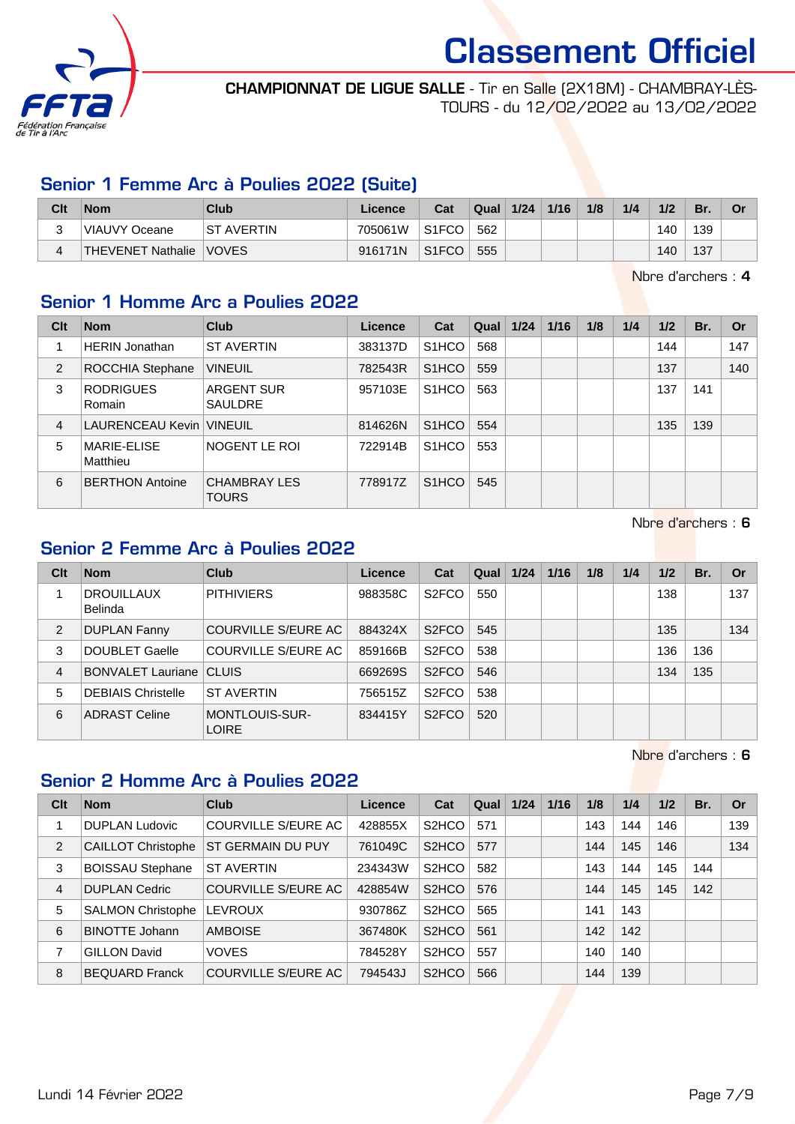

#### CHAMPIONNAT DE LIGUE SALLE - Tir en Salle (2X18M) - CHAMBRAY-LÈS-TOURS - du 12/02/2022 au 13/02/2022

#### Senior 1 Femme Arc à Poulies 2022 (Suite)

| Clt | <b>Nom</b>        | Club              | Licence | Cat                | Qual | 1/24 | 1/16 | 1/8 | 1/4 | 1/2 | Br. | Or |
|-----|-------------------|-------------------|---------|--------------------|------|------|------|-----|-----|-----|-----|----|
| ື   | VIAUVY Oceane     | <b>ST AVERTIN</b> | 705061W | S1FCO              | 562  |      |      |     |     | 140 | 139 |    |
|     | THEVENET Nathalie | <b>VOVES</b>      | 916171N | S <sub>1</sub> FCO | 555  |      |      |     |     | 140 | 137 |    |

Nbre d'archers : 4

#### Senior 1 Homme Arc a Poulies 2022

| Clt            | <b>Nom</b>                 | <b>Club</b>                         | Licence | Cat                | Qual | 1/24 | 1/16 | 1/8 | 1/4 | 1/2 | Br. | <b>Or</b> |
|----------------|----------------------------|-------------------------------------|---------|--------------------|------|------|------|-----|-----|-----|-----|-----------|
|                | <b>HERIN Jonathan</b>      | <b>ST AVERTIN</b>                   | 383137D | S <sub>1</sub> HCO | 568  |      |      |     |     | 144 |     | 147       |
| 2              | ROCCHIA Stephane           | <b>VINEUIL</b>                      | 782543R | S <sub>1</sub> HCO | 559  |      |      |     |     | 137 |     | 140       |
| 3              | <b>RODRIGUES</b><br>Romain | <b>ARGENT SUR</b><br><b>SAULDRE</b> | 957103E | S <sub>1</sub> HCO | 563  |      |      |     |     | 137 | 141 |           |
| $\overline{4}$ | LAURENCEAU Kevin   VINEUIL |                                     | 814626N | S <sub>1</sub> HCO | 554  |      |      |     |     | 135 | 139 |           |
| 5              | MARIE-ELISE<br>Matthieu    | NOGENT LE ROI                       | 722914B | S <sub>1</sub> HCO | 553  |      |      |     |     |     |     |           |
| 6              | <b>BERTHON Antoine</b>     | <b>CHAMBRAY LES</b><br><b>TOURS</b> | 778917Z | S <sub>1</sub> HCO | 545  |      |      |     |     |     |     |           |

Nbre d'archers : 6

# Senior 2 Femme Arc à Poulies 2022

| Clt            | <b>Nom</b>                     | Club                                  | Licence | Cat                | Qual | 1/24 | 1/16 | 1/8 | 1/4 | 1/2 | Br. | Or  |
|----------------|--------------------------------|---------------------------------------|---------|--------------------|------|------|------|-----|-----|-----|-----|-----|
|                | <b>DROUILLAUX</b><br>Belinda   | <b>PITHIVIERS</b>                     | 988358C | S <sub>2</sub> FCO | 550  |      |      |     |     | 138 |     | 137 |
| 2              | <b>DUPLAN Fanny</b>            | COURVILLE S/EURE AC                   | 884324X | S <sub>2</sub> FCO | 545  |      |      |     |     | 135 |     | 134 |
| 3              | <b>DOUBLET Gaelle</b>          | COURVILLE S/EURE AC                   | 859166B | S <sub>2</sub> FCO | 538  |      |      |     |     | 136 | 136 |     |
| $\overline{4}$ | <b>BONVALET Lauriane CLUIS</b> |                                       | 669269S | S <sub>2</sub> FCO | 546  |      |      |     |     | 134 | 135 |     |
| 5              | <b>DEBIAIS Christelle</b>      | <b>ST AVERTIN</b>                     | 756515Z | S <sub>2</sub> FCO | 538  |      |      |     |     |     |     |     |
| 6              | <b>ADRAST Celine</b>           | <b>MONTLOUIS-SUR-</b><br><b>LOIRE</b> | 834415Y | S <sub>2</sub> FCO | 520  |      |      |     |     |     |     |     |

Nbre d'archers : 6

#### Senior 2 Homme Arc à Poulies 2022

| Clt            | <b>Nom</b>                | Club                       | <b>Licence</b> | Cat                | Qual | 1/24 | 1/16 | 1/8 | 1/4 | 1/2 | Br. | <b>Or</b> |
|----------------|---------------------------|----------------------------|----------------|--------------------|------|------|------|-----|-----|-----|-----|-----------|
|                | <b>DUPLAN Ludovic</b>     | COURVILLE S/EURE AC        | 428855X        | S <sub>2</sub> HCO | 571  |      |      | 143 | 144 | 146 |     | 139       |
| 2              | <b>CAILLOT Christophe</b> | ST GERMAIN DU PUY          | 761049C        | S <sub>2</sub> HCO | 577  |      |      | 144 | 145 | 146 |     | 134       |
| 3              | <b>BOISSAU Stephane</b>   | <b>ST AVERTIN</b>          | 234343W        | S <sub>2</sub> HCO | 582  |      |      | 143 | 144 | 145 | 144 |           |
| $\overline{4}$ | <b>DUPLAN Cedric</b>      | <b>COURVILLE S/EURE AC</b> | 428854W        | S <sub>2</sub> HCO | 576  |      |      | 144 | 145 | 145 | 142 |           |
| 5              | <b>SALMON Christophe</b>  | <b>LEVROUX</b>             | 930786Z        | S <sub>2</sub> HCO | 565  |      |      | 141 | 143 |     |     |           |
| 6              | <b>BINOTTE Johann</b>     | <b>AMBOISE</b>             | 367480K        | S <sub>2</sub> HCO | 561  |      |      | 142 | 142 |     |     |           |
|                | <b>GILLON David</b>       | <b>VOVES</b>               | 784528Y        | S <sub>2</sub> HCO | 557  |      |      | 140 | 140 |     |     |           |
| 8              | <b>BEQUARD Franck</b>     | <b>COURVILLE S/EURE AC</b> | 794543J        | S <sub>2</sub> HCO | 566  |      |      | 144 | 139 |     |     |           |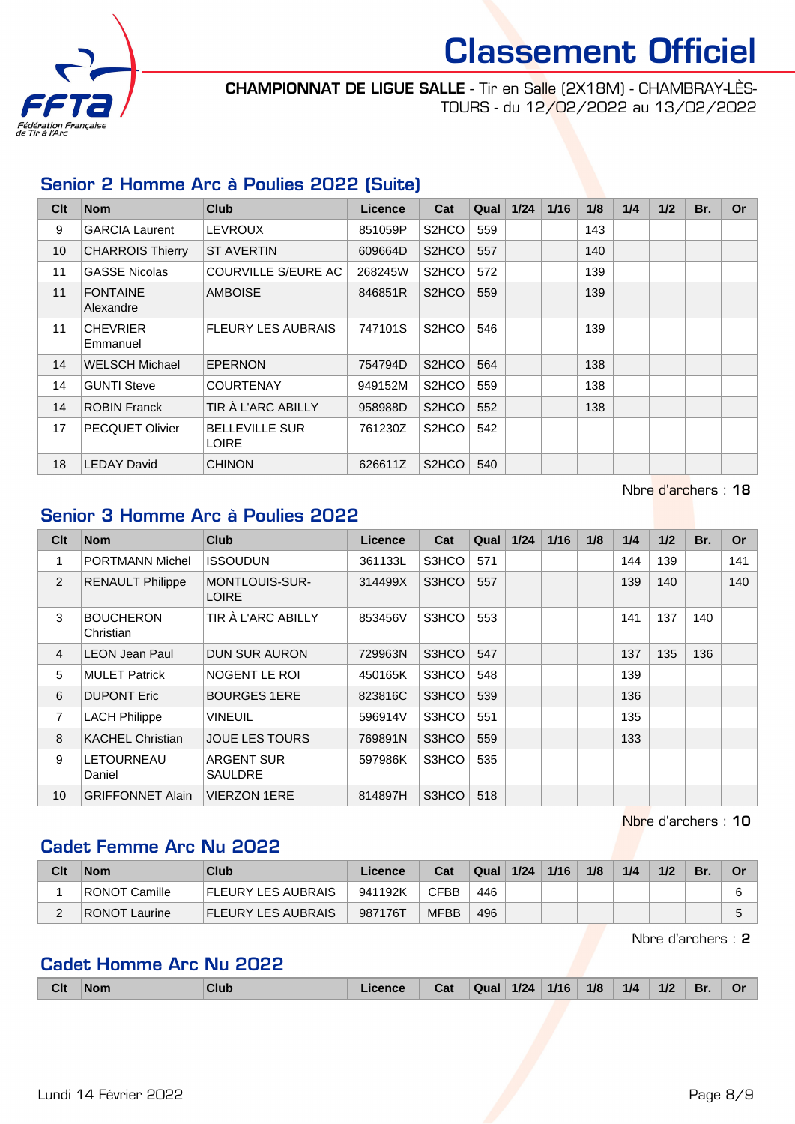

#### CHAMPIONNAT DE LIGUE SALLE - Tir en Salle (2X18M) - CHAMBRAY-LÈS-TOURS - du 12/02/2022 au 13/02/2022

#### Senior 2 Homme Arc à Poulies 2022 (Suite)

| Clt | <b>Nom</b>                   | Club                                  | Licence | Cat                | Qual | 1/24 | 1/16 | 1/8 | 1/4 | 1/2 | Br. | <b>Or</b> |
|-----|------------------------------|---------------------------------------|---------|--------------------|------|------|------|-----|-----|-----|-----|-----------|
| 9   | <b>GARCIA Laurent</b>        | <b>LEVROUX</b>                        | 851059P | S <sub>2</sub> HCO | 559  |      |      | 143 |     |     |     |           |
| 10  | <b>CHARROIS Thierry</b>      | <b>ST AVERTIN</b>                     | 609664D | S <sub>2</sub> HCO | 557  |      |      | 140 |     |     |     |           |
| 11  | <b>GASSE Nicolas</b>         | COURVILLE S/EURE AC                   | 268245W | S <sub>2</sub> HCO | 572  |      |      | 139 |     |     |     |           |
| 11  | <b>FONTAINE</b><br>Alexandre | <b>AMBOISE</b>                        | 846851R | S <sub>2</sub> HCO | 559  |      |      | 139 |     |     |     |           |
| 11  | <b>CHEVRIER</b><br>Emmanuel  | <b>FLEURY LES AUBRAIS</b>             | 747101S | S <sub>2</sub> HCO | 546  |      |      | 139 |     |     |     |           |
| 14  | <b>WELSCH Michael</b>        | <b>EPERNON</b>                        | 754794D | S <sub>2</sub> HCO | 564  |      |      | 138 |     |     |     |           |
| 14  | <b>GUNTI Steve</b>           | <b>COURTENAY</b>                      | 949152M | S <sub>2</sub> HCO | 559  |      |      | 138 |     |     |     |           |
| 14  | <b>ROBIN Franck</b>          | TIR À L'ARC ABILLY                    | 958988D | S <sub>2</sub> HCO | 552  |      |      | 138 |     |     |     |           |
| 17  | <b>PECQUET Olivier</b>       | <b>BELLEVILLE SUR</b><br><b>LOIRE</b> | 761230Z | S <sub>2</sub> HCO | 542  |      |      |     |     |     |     |           |
| 18  | <b>LEDAY David</b>           | <b>CHINON</b>                         | 626611Z | S <sub>2</sub> HCO | 540  |      |      |     |     |     |     |           |

#### Nbre d'archers : 18

#### Senior 3 Homme Arc à Poulies 2022

| Clt            | <b>Nom</b>                    | <b>Club</b>                           | <b>Licence</b> | Cat   | Qual | $1/24$ | $1/16$ | 1/8 | 1/4 | 1/2 | Br. | <b>Or</b> |
|----------------|-------------------------------|---------------------------------------|----------------|-------|------|--------|--------|-----|-----|-----|-----|-----------|
| 1              | <b>PORTMANN Michel</b>        | <b>ISSOUDUN</b>                       | 361133L        | S3HCO | 571  |        |        |     | 144 | 139 |     | 141       |
| $\overline{2}$ | <b>RENAULT Philippe</b>       | <b>MONTLOUIS-SUR-</b><br><b>LOIRE</b> | 314499X        | S3HCO | 557  |        |        |     | 139 | 140 |     | 140       |
| 3              | <b>BOUCHERON</b><br>Christian | TIR À L'ARC ABILLY                    | 853456V        | S3HCO | 553  |        |        |     | 141 | 137 | 140 |           |
| $\overline{4}$ | <b>LEON Jean Paul</b>         | <b>DUN SUR AURON</b>                  | 729963N        | S3HCO | 547  |        |        |     | 137 | 135 | 136 |           |
| 5              | <b>MULET Patrick</b>          | NOGENT LE ROI                         | 450165K        | S3HCO | 548  |        |        |     | 139 |     |     |           |
| 6              | <b>DUPONT Eric</b>            | <b>BOURGES 1ERE</b>                   | 823816C        | S3HCO | 539  |        |        |     | 136 |     |     |           |
| $\overline{7}$ | <b>LACH Philippe</b>          | <b>VINEUIL</b>                        | 596914V        | S3HCO | 551  |        |        |     | 135 |     |     |           |
| 8              | <b>KACHEL Christian</b>       | <b>JOUE LES TOURS</b>                 | 769891N        | S3HCO | 559  |        |        |     | 133 |     |     |           |
| 9              | LETOURNEAU<br>Daniel          | <b>ARGENT SUR</b><br>SAULDRE          | 597986K        | S3HCO | 535  |        |        |     |     |     |     |           |
| 10             | <b>GRIFFONNET Alain</b>       | <b>VIERZON 1ERE</b>                   | 814897H        | S3HCO | 518  |        |        |     |     |     |     |           |

Nbre d'archers : 10

#### Cadet Femme Arc Nu 2022

| Clt | <b>Nom</b>           | Club                      | Licence | Cat         | Qual | 1/24 | 1/16 | 1/8 | 1/4 | 1/2 | Br. | Or |
|-----|----------------------|---------------------------|---------|-------------|------|------|------|-----|-----|-----|-----|----|
|     | RONOT Camille        | <b>FLEURY LES AUBRAIS</b> | 941192K | CFBB        | 446  |      |      |     |     |     |     | 6  |
|     | <b>RONOT Laurine</b> | <b>FLEURY LES AUBRAIS</b> | 987176T | <b>MFBB</b> | 496  |      |      |     |     |     |     |    |

Nbre d'archers : 2

#### Cadet Homme Arc Nu 2022

|  | Clt | <b>Nom</b> | Club | icence | Cat | Qual | $1/24$ | 1/16 | 1/8 | 1/4 | 1/2 | Br. | Oı |
|--|-----|------------|------|--------|-----|------|--------|------|-----|-----|-----|-----|----|
|--|-----|------------|------|--------|-----|------|--------|------|-----|-----|-----|-----|----|